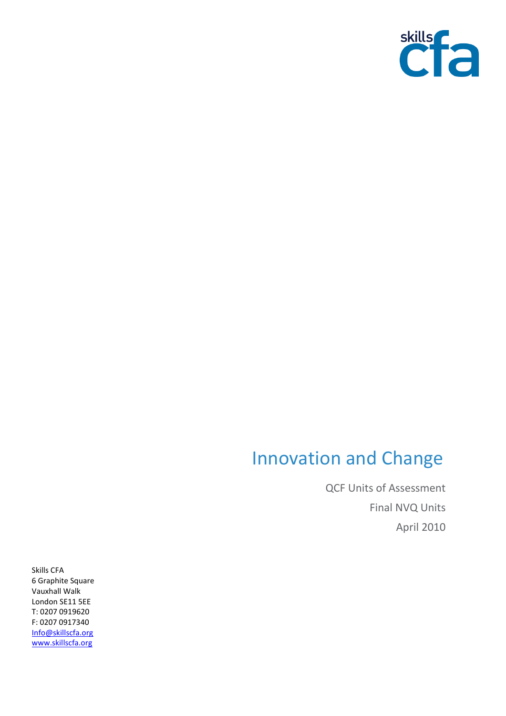

## Innovation and Change

QCF Units of Assessment Final NVQ Units April 2010

Skills CFA 6 Graphite Square Vauxhall Walk London SE11 5EE T: 0207 0919620 F: 0207 0917340 [Info@skillscfa.org](mailto:Info@skillscfa.org) [www.skillscfa.org](http://www.skillscfa.org/)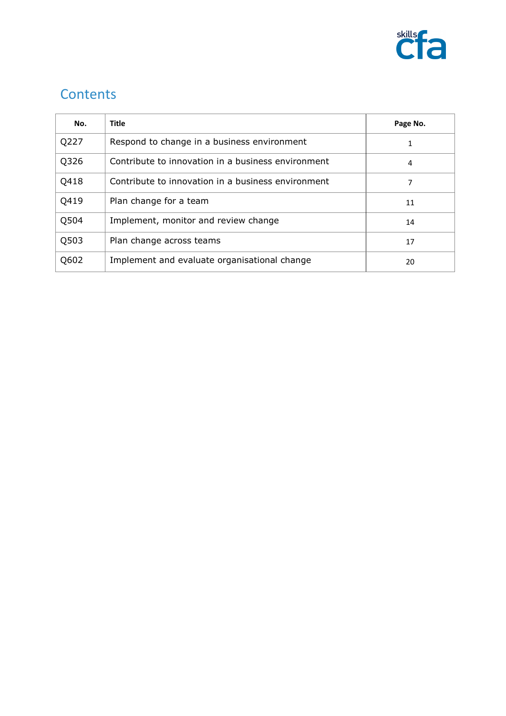

## **Contents**

| No.  | <b>Title</b>                                       | Page No. |
|------|----------------------------------------------------|----------|
| Q227 | Respond to change in a business environment        |          |
| Q326 | Contribute to innovation in a business environment | 4        |
| Q418 | Contribute to innovation in a business environment | 7        |
| Q419 | Plan change for a team                             | 11       |
| Q504 | Implement, monitor and review change               | 14       |
| Q503 | Plan change across teams                           | 17       |
| Q602 | Implement and evaluate organisational change       | 20       |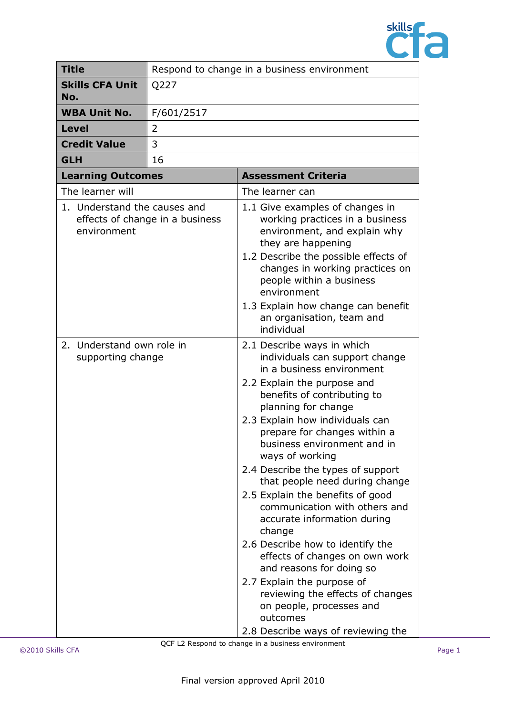

| <b>Title</b>                                   | Respond to change in a business environment |                                                                                                                                                                                                                                                                                                                                                                                                                                                                                                                                                                                                                                                                                                                                            |
|------------------------------------------------|---------------------------------------------|--------------------------------------------------------------------------------------------------------------------------------------------------------------------------------------------------------------------------------------------------------------------------------------------------------------------------------------------------------------------------------------------------------------------------------------------------------------------------------------------------------------------------------------------------------------------------------------------------------------------------------------------------------------------------------------------------------------------------------------------|
| <b>Skills CFA Unit</b><br>No.                  | Q227                                        |                                                                                                                                                                                                                                                                                                                                                                                                                                                                                                                                                                                                                                                                                                                                            |
| <b>WBA Unit No.</b><br>F/601/2517              |                                             |                                                                                                                                                                                                                                                                                                                                                                                                                                                                                                                                                                                                                                                                                                                                            |
| <b>Level</b>                                   | 2                                           |                                                                                                                                                                                                                                                                                                                                                                                                                                                                                                                                                                                                                                                                                                                                            |
| <b>Credit Value</b>                            | 3                                           |                                                                                                                                                                                                                                                                                                                                                                                                                                                                                                                                                                                                                                                                                                                                            |
| <b>GLH</b>                                     | 16                                          |                                                                                                                                                                                                                                                                                                                                                                                                                                                                                                                                                                                                                                                                                                                                            |
| <b>Learning Outcomes</b>                       |                                             | <b>Assessment Criteria</b>                                                                                                                                                                                                                                                                                                                                                                                                                                                                                                                                                                                                                                                                                                                 |
| The learner will                               |                                             | The learner can                                                                                                                                                                                                                                                                                                                                                                                                                                                                                                                                                                                                                                                                                                                            |
| 1. Understand the causes and<br>environment    | effects of change in a business             | 1.1 Give examples of changes in<br>working practices in a business<br>environment, and explain why<br>they are happening<br>1.2 Describe the possible effects of<br>changes in working practices on<br>people within a business<br>environment<br>1.3 Explain how change can benefit<br>an organisation, team and<br>individual                                                                                                                                                                                                                                                                                                                                                                                                            |
| 2. Understand own role in<br>supporting change |                                             | 2.1 Describe ways in which<br>individuals can support change<br>in a business environment<br>2.2 Explain the purpose and<br>benefits of contributing to<br>planning for change<br>2.3 Explain how individuals can<br>prepare for changes within a<br>business environment and in<br>ways of working<br>2.4 Describe the types of support<br>that people need during change<br>2.5 Explain the benefits of good<br>communication with others and<br>accurate information during<br>change<br>2.6 Describe how to identify the<br>effects of changes on own work<br>and reasons for doing so<br>2.7 Explain the purpose of<br>reviewing the effects of changes<br>on people, processes and<br>outcomes<br>2.8 Describe ways of reviewing the |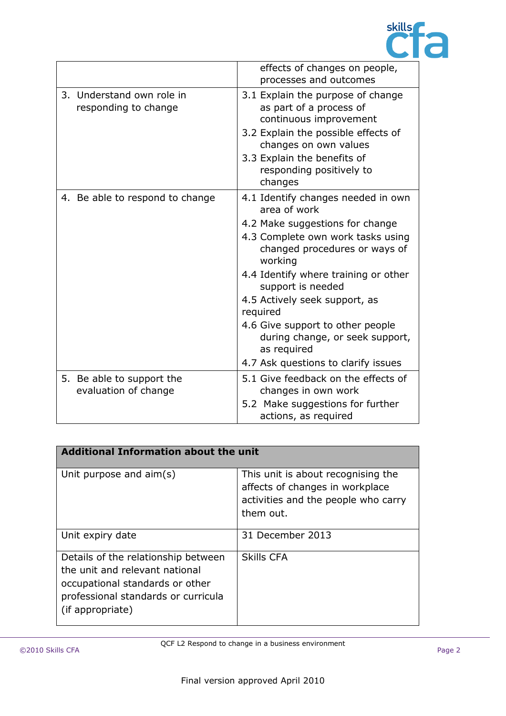

|                                                   | effects of changes on people,<br>processes and outcomes                                                                                                                                                                                                                                                                                                                                                       |
|---------------------------------------------------|---------------------------------------------------------------------------------------------------------------------------------------------------------------------------------------------------------------------------------------------------------------------------------------------------------------------------------------------------------------------------------------------------------------|
| 3. Understand own role in<br>responding to change | 3.1 Explain the purpose of change<br>as part of a process of<br>continuous improvement<br>3.2 Explain the possible effects of<br>changes on own values<br>3.3 Explain the benefits of<br>responding positively to<br>changes                                                                                                                                                                                  |
| 4. Be able to respond to change                   | 4.1 Identify changes needed in own<br>area of work<br>4.2 Make suggestions for change<br>4.3 Complete own work tasks using<br>changed procedures or ways of<br>working<br>4.4 Identify where training or other<br>support is needed<br>4.5 Actively seek support, as<br>required<br>4.6 Give support to other people<br>during change, or seek support,<br>as required<br>4.7 Ask questions to clarify issues |
| 5. Be able to support the<br>evaluation of change | 5.1 Give feedback on the effects of<br>changes in own work<br>5.2 Make suggestions for further<br>actions, as required                                                                                                                                                                                                                                                                                        |

| <b>Additional Information about the unit</b>                                                                                                                        |                                                                                                                           |  |
|---------------------------------------------------------------------------------------------------------------------------------------------------------------------|---------------------------------------------------------------------------------------------------------------------------|--|
| Unit purpose and aim(s)                                                                                                                                             | This unit is about recognising the<br>affects of changes in workplace<br>activities and the people who carry<br>them out. |  |
| Unit expiry date                                                                                                                                                    | 31 December 2013                                                                                                          |  |
| Details of the relationship between<br>the unit and relevant national<br>occupational standards or other<br>professional standards or curricula<br>(if appropriate) | <b>Skills CFA</b>                                                                                                         |  |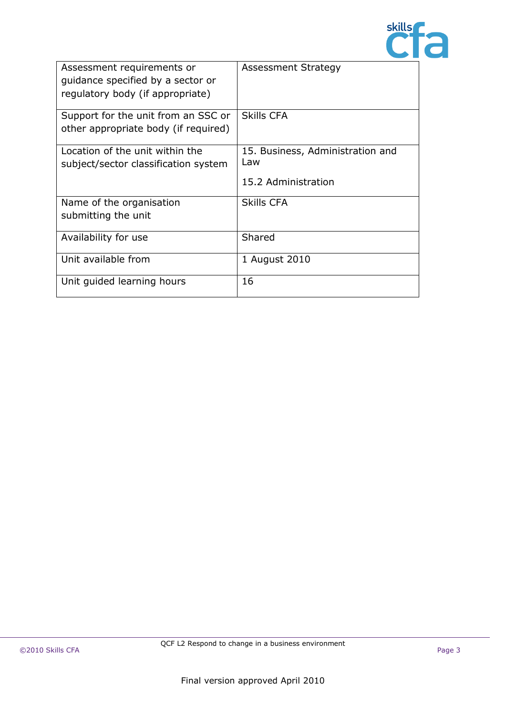

| Assessment requirements or<br>quidance specified by a sector or<br>regulatory body (if appropriate) | <b>Assessment Strategy</b>                                     |
|-----------------------------------------------------------------------------------------------------|----------------------------------------------------------------|
| Support for the unit from an SSC or<br>other appropriate body (if required)                         | <b>Skills CFA</b>                                              |
| Location of the unit within the<br>subject/sector classification system                             | 15. Business, Administration and<br>Law<br>15.2 Administration |
| Name of the organisation<br>submitting the unit                                                     | <b>Skills CFA</b>                                              |
| Availability for use                                                                                | Shared                                                         |
| Unit available from                                                                                 | 1 August 2010                                                  |
| Unit guided learning hours                                                                          | 16                                                             |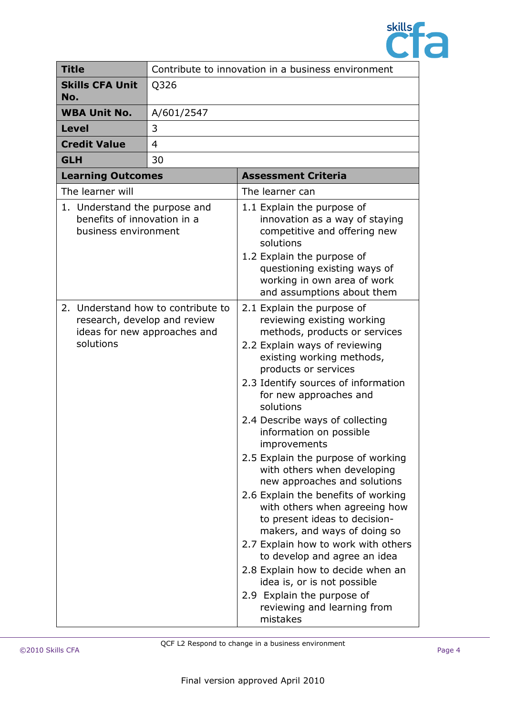

| <b>Title</b>                                                                         |                              | Contribute to innovation in a business environment                                                                                                                                                                                                                                                                                                                                                                                                                                                                                                                                                                                                                                                                                                                                                            |
|--------------------------------------------------------------------------------------|------------------------------|---------------------------------------------------------------------------------------------------------------------------------------------------------------------------------------------------------------------------------------------------------------------------------------------------------------------------------------------------------------------------------------------------------------------------------------------------------------------------------------------------------------------------------------------------------------------------------------------------------------------------------------------------------------------------------------------------------------------------------------------------------------------------------------------------------------|
| <b>Skills CFA Unit</b><br>No.                                                        | Q326                         |                                                                                                                                                                                                                                                                                                                                                                                                                                                                                                                                                                                                                                                                                                                                                                                                               |
| <b>WBA Unit No.</b>                                                                  | A/601/2547                   |                                                                                                                                                                                                                                                                                                                                                                                                                                                                                                                                                                                                                                                                                                                                                                                                               |
| <b>Level</b>                                                                         | 3                            |                                                                                                                                                                                                                                                                                                                                                                                                                                                                                                                                                                                                                                                                                                                                                                                                               |
| <b>Credit Value</b>                                                                  | 4                            |                                                                                                                                                                                                                                                                                                                                                                                                                                                                                                                                                                                                                                                                                                                                                                                                               |
| <b>GLH</b>                                                                           | 30                           |                                                                                                                                                                                                                                                                                                                                                                                                                                                                                                                                                                                                                                                                                                                                                                                                               |
| <b>Learning Outcomes</b>                                                             |                              | <b>Assessment Criteria</b>                                                                                                                                                                                                                                                                                                                                                                                                                                                                                                                                                                                                                                                                                                                                                                                    |
| The learner will                                                                     |                              | The learner can                                                                                                                                                                                                                                                                                                                                                                                                                                                                                                                                                                                                                                                                                                                                                                                               |
| 1. Understand the purpose and<br>benefits of innovation in a<br>business environment |                              | 1.1 Explain the purpose of<br>innovation as a way of staying<br>competitive and offering new<br>solutions<br>1.2 Explain the purpose of<br>questioning existing ways of<br>working in own area of work<br>and assumptions about them                                                                                                                                                                                                                                                                                                                                                                                                                                                                                                                                                                          |
| 2. Understand how to contribute to<br>research, develop and review<br>solutions      | ideas for new approaches and | 2.1 Explain the purpose of<br>reviewing existing working<br>methods, products or services<br>2.2 Explain ways of reviewing<br>existing working methods,<br>products or services<br>2.3 Identify sources of information<br>for new approaches and<br>solutions<br>2.4 Describe ways of collecting<br>information on possible<br>improvements<br>2.5 Explain the purpose of working<br>with others when developing<br>new approaches and solutions<br>2.6 Explain the benefits of working<br>with others when agreeing how<br>to present ideas to decision-<br>makers, and ways of doing so<br>2.7 Explain how to work with others<br>to develop and agree an idea<br>2.8 Explain how to decide when an<br>idea is, or is not possible<br>2.9 Explain the purpose of<br>reviewing and learning from<br>mistakes |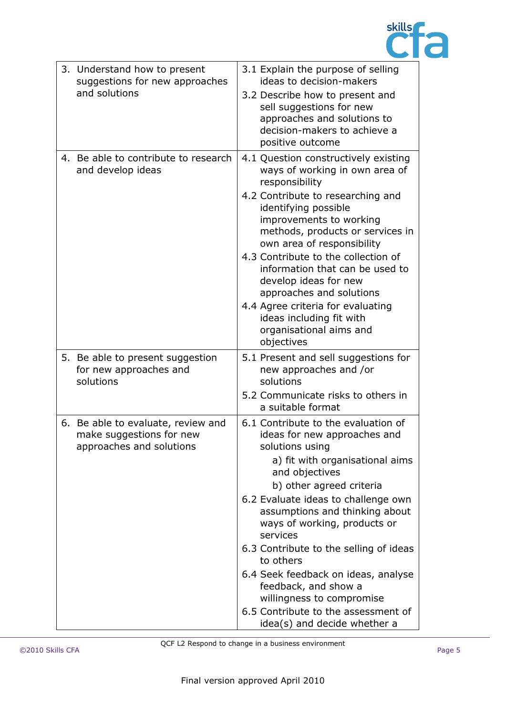

| 3. Understand how to present<br>suggestions for new approaches<br>and solutions            | 3.1 Explain the purpose of selling<br>ideas to decision-makers<br>3.2 Describe how to present and<br>sell suggestions for new<br>approaches and solutions to<br>decision-makers to achieve a<br>positive outcome                                                                                                                                                                                                                                                                                                       |
|--------------------------------------------------------------------------------------------|------------------------------------------------------------------------------------------------------------------------------------------------------------------------------------------------------------------------------------------------------------------------------------------------------------------------------------------------------------------------------------------------------------------------------------------------------------------------------------------------------------------------|
| 4. Be able to contribute to research<br>and develop ideas                                  | 4.1 Question constructively existing<br>ways of working in own area of<br>responsibility<br>4.2 Contribute to researching and<br>identifying possible<br>improvements to working<br>methods, products or services in<br>own area of responsibility<br>4.3 Contribute to the collection of<br>information that can be used to<br>develop ideas for new<br>approaches and solutions<br>4.4 Agree criteria for evaluating<br>ideas including fit with<br>organisational aims and<br>objectives                            |
| 5. Be able to present suggestion<br>for new approaches and<br>solutions                    | 5.1 Present and sell suggestions for<br>new approaches and /or<br>solutions<br>5.2 Communicate risks to others in<br>a suitable format                                                                                                                                                                                                                                                                                                                                                                                 |
| 6. Be able to evaluate, review and<br>make suggestions for new<br>approaches and solutions | 6.1 Contribute to the evaluation of<br>ideas for new approaches and<br>solutions using<br>a) fit with organisational aims<br>and objectives<br>b) other agreed criteria<br>6.2 Evaluate ideas to challenge own<br>assumptions and thinking about<br>ways of working, products or<br>services<br>6.3 Contribute to the selling of ideas<br>to others<br>6.4 Seek feedback on ideas, analyse<br>feedback, and show a<br>willingness to compromise<br>6.5 Contribute to the assessment of<br>idea(s) and decide whether a |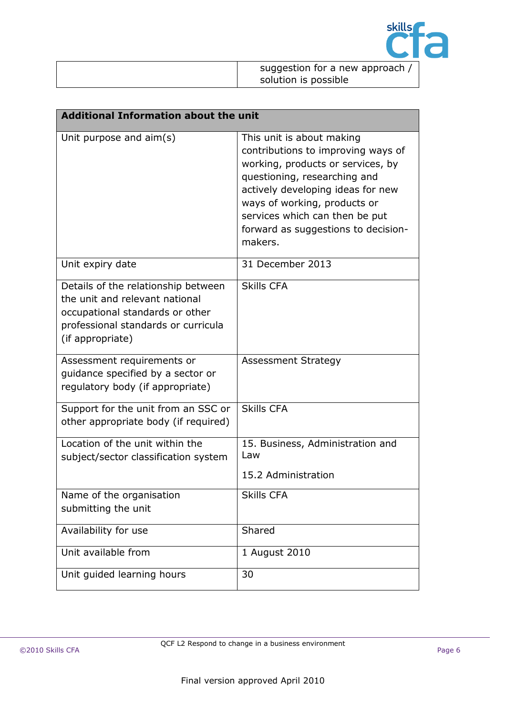

| suggestion for a new approach, |
|--------------------------------|
| solution is possible           |

| <b>Additional Information about the unit</b>                                                                                                                        |                                                                                                                                                                                                                                                                                               |  |
|---------------------------------------------------------------------------------------------------------------------------------------------------------------------|-----------------------------------------------------------------------------------------------------------------------------------------------------------------------------------------------------------------------------------------------------------------------------------------------|--|
| Unit purpose and $\text{aim}(s)$                                                                                                                                    | This unit is about making<br>contributions to improving ways of<br>working, products or services, by<br>questioning, researching and<br>actively developing ideas for new<br>ways of working, products or<br>services which can then be put<br>forward as suggestions to decision-<br>makers. |  |
| Unit expiry date                                                                                                                                                    | 31 December 2013                                                                                                                                                                                                                                                                              |  |
| Details of the relationship between<br>the unit and relevant national<br>occupational standards or other<br>professional standards or curricula<br>(if appropriate) | <b>Skills CFA</b>                                                                                                                                                                                                                                                                             |  |
| Assessment requirements or<br>guidance specified by a sector or<br>regulatory body (if appropriate)                                                                 | <b>Assessment Strategy</b>                                                                                                                                                                                                                                                                    |  |
| Support for the unit from an SSC or<br>other appropriate body (if required)                                                                                         | <b>Skills CFA</b>                                                                                                                                                                                                                                                                             |  |
| Location of the unit within the<br>subject/sector classification system                                                                                             | 15. Business, Administration and<br>Law<br>15.2 Administration                                                                                                                                                                                                                                |  |
| Name of the organisation<br>submitting the unit                                                                                                                     | <b>Skills CFA</b>                                                                                                                                                                                                                                                                             |  |
| Availability for use                                                                                                                                                | Shared                                                                                                                                                                                                                                                                                        |  |
| Unit available from                                                                                                                                                 | 1 August 2010                                                                                                                                                                                                                                                                                 |  |
| Unit guided learning hours                                                                                                                                          | 30                                                                                                                                                                                                                                                                                            |  |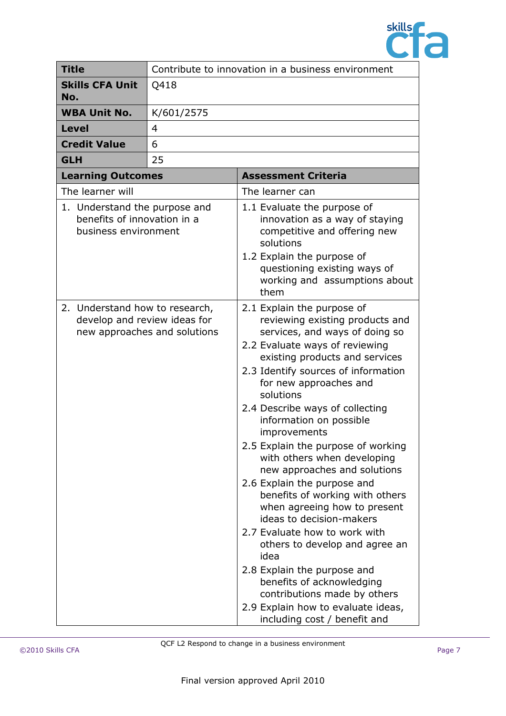

| <b>Title</b>                                                                         | Contribute to innovation in a business environment |                                                                                                                                                                                                                                                                                                                                                                                                                                                                                                                                                                                                                                                                                                                                                                                                                 |
|--------------------------------------------------------------------------------------|----------------------------------------------------|-----------------------------------------------------------------------------------------------------------------------------------------------------------------------------------------------------------------------------------------------------------------------------------------------------------------------------------------------------------------------------------------------------------------------------------------------------------------------------------------------------------------------------------------------------------------------------------------------------------------------------------------------------------------------------------------------------------------------------------------------------------------------------------------------------------------|
| <b>Skills CFA Unit</b><br>No.                                                        | Q418                                               |                                                                                                                                                                                                                                                                                                                                                                                                                                                                                                                                                                                                                                                                                                                                                                                                                 |
| <b>WBA Unit No.</b>                                                                  | K/601/2575                                         |                                                                                                                                                                                                                                                                                                                                                                                                                                                                                                                                                                                                                                                                                                                                                                                                                 |
| <b>Level</b>                                                                         | 4                                                  |                                                                                                                                                                                                                                                                                                                                                                                                                                                                                                                                                                                                                                                                                                                                                                                                                 |
| <b>Credit Value</b>                                                                  | 6                                                  |                                                                                                                                                                                                                                                                                                                                                                                                                                                                                                                                                                                                                                                                                                                                                                                                                 |
| <b>GLH</b>                                                                           | 25                                                 |                                                                                                                                                                                                                                                                                                                                                                                                                                                                                                                                                                                                                                                                                                                                                                                                                 |
| <b>Learning Outcomes</b>                                                             |                                                    | <b>Assessment Criteria</b>                                                                                                                                                                                                                                                                                                                                                                                                                                                                                                                                                                                                                                                                                                                                                                                      |
| The learner will                                                                     |                                                    | The learner can                                                                                                                                                                                                                                                                                                                                                                                                                                                                                                                                                                                                                                                                                                                                                                                                 |
| 1. Understand the purpose and<br>benefits of innovation in a<br>business environment |                                                    | 1.1 Evaluate the purpose of<br>innovation as a way of staying<br>competitive and offering new<br>solutions<br>1.2 Explain the purpose of<br>questioning existing ways of<br>working and assumptions about<br>them                                                                                                                                                                                                                                                                                                                                                                                                                                                                                                                                                                                               |
| 2. Understand how to research,<br>develop and review ideas for                       | new approaches and solutions                       | 2.1 Explain the purpose of<br>reviewing existing products and<br>services, and ways of doing so<br>2.2 Evaluate ways of reviewing<br>existing products and services<br>2.3 Identify sources of information<br>for new approaches and<br>solutions<br>2.4 Describe ways of collecting<br>information on possible<br>improvements<br>2.5 Explain the purpose of working<br>with others when developing<br>new approaches and solutions<br>2.6 Explain the purpose and<br>benefits of working with others<br>when agreeing how to present<br>ideas to decision-makers<br>2.7 Evaluate how to work with<br>others to develop and agree an<br>idea<br>2.8 Explain the purpose and<br>benefits of acknowledging<br>contributions made by others<br>2.9 Explain how to evaluate ideas,<br>including cost / benefit and |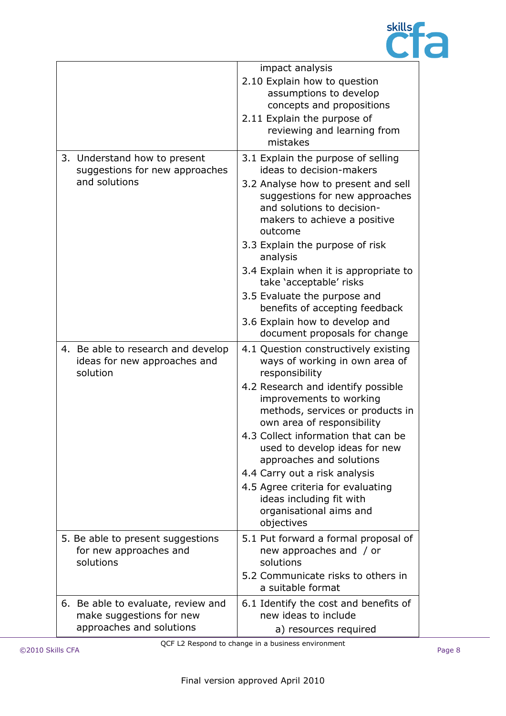

|                                                                                | impact analysis                                                                                                                                |
|--------------------------------------------------------------------------------|------------------------------------------------------------------------------------------------------------------------------------------------|
|                                                                                | 2.10 Explain how to question                                                                                                                   |
|                                                                                | assumptions to develop<br>concepts and propositions                                                                                            |
|                                                                                | 2.11 Explain the purpose of                                                                                                                    |
|                                                                                | reviewing and learning from                                                                                                                    |
|                                                                                | mistakes                                                                                                                                       |
| 3. Understand how to present<br>suggestions for new approaches                 | 3.1 Explain the purpose of selling<br>ideas to decision-makers                                                                                 |
| and solutions                                                                  | 3.2 Analyse how to present and sell<br>suggestions for new approaches<br>and solutions to decision-<br>makers to achieve a positive<br>outcome |
|                                                                                | 3.3 Explain the purpose of risk<br>analysis                                                                                                    |
|                                                                                | 3.4 Explain when it is appropriate to<br>take 'acceptable' risks                                                                               |
|                                                                                | 3.5 Evaluate the purpose and<br>benefits of accepting feedback                                                                                 |
|                                                                                | 3.6 Explain how to develop and<br>document proposals for change                                                                                |
| 4. Be able to research and develop<br>ideas for new approaches and<br>solution | 4.1 Question constructively existing<br>ways of working in own area of<br>responsibility                                                       |
|                                                                                | 4.2 Research and identify possible<br>improvements to working<br>methods, services or products in<br>own area of responsibility                |
|                                                                                | 4.3 Collect information that can be<br>used to develop ideas for new<br>approaches and solutions                                               |
|                                                                                | 4.4 Carry out a risk analysis                                                                                                                  |
|                                                                                | 4.5 Agree criteria for evaluating<br>ideas including fit with<br>organisational aims and<br>objectives                                         |
| 5. Be able to present suggestions<br>for new approaches and<br>solutions       | 5.1 Put forward a formal proposal of<br>new approaches and / or<br>solutions                                                                   |
|                                                                                | 5.2 Communicate risks to others in<br>a suitable format                                                                                        |
| 6. Be able to evaluate, review and<br>make suggestions for new                 | 6.1 Identify the cost and benefits of<br>new ideas to include                                                                                  |
| approaches and solutions                                                       | a) resources required                                                                                                                          |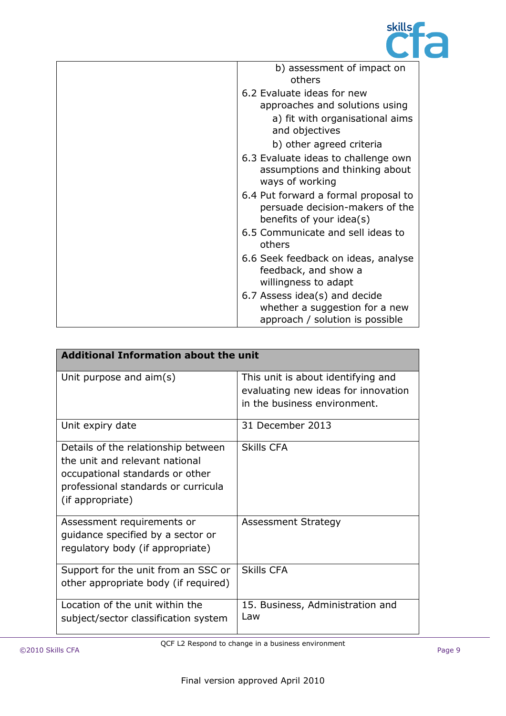

| b) assessment of impact on<br>others                                                                |
|-----------------------------------------------------------------------------------------------------|
| 6.2 Evaluate ideas for new                                                                          |
| approaches and solutions using                                                                      |
| a) fit with organisational aims<br>and objectives                                                   |
| b) other agreed criteria                                                                            |
| 6.3 Evaluate ideas to challenge own<br>assumptions and thinking about<br>ways of working            |
| 6.4 Put forward a formal proposal to<br>persuade decision-makers of the<br>benefits of your idea(s) |
| 6.5 Communicate and sell ideas to<br>others                                                         |
| 6.6 Seek feedback on ideas, analyse<br>feedback, and show a<br>willingness to adapt                 |
| 6.7 Assess idea(s) and decide<br>whether a suggestion for a new<br>approach / solution is possible  |

| <b>Additional Information about the unit</b>                                                                                                                        |                                                                                                           |  |
|---------------------------------------------------------------------------------------------------------------------------------------------------------------------|-----------------------------------------------------------------------------------------------------------|--|
| Unit purpose and $\text{aim}(s)$                                                                                                                                    | This unit is about identifying and<br>evaluating new ideas for innovation<br>in the business environment. |  |
| Unit expiry date                                                                                                                                                    | 31 December 2013                                                                                          |  |
| Details of the relationship between<br>the unit and relevant national<br>occupational standards or other<br>professional standards or curricula<br>(if appropriate) | Skills CFA                                                                                                |  |
| Assessment requirements or<br>guidance specified by a sector or<br>regulatory body (if appropriate)                                                                 | <b>Assessment Strategy</b>                                                                                |  |
| Support for the unit from an SSC or<br>other appropriate body (if required)                                                                                         | <b>Skills CFA</b>                                                                                         |  |
| Location of the unit within the<br>subject/sector classification system                                                                                             | 15. Business, Administration and<br>Law                                                                   |  |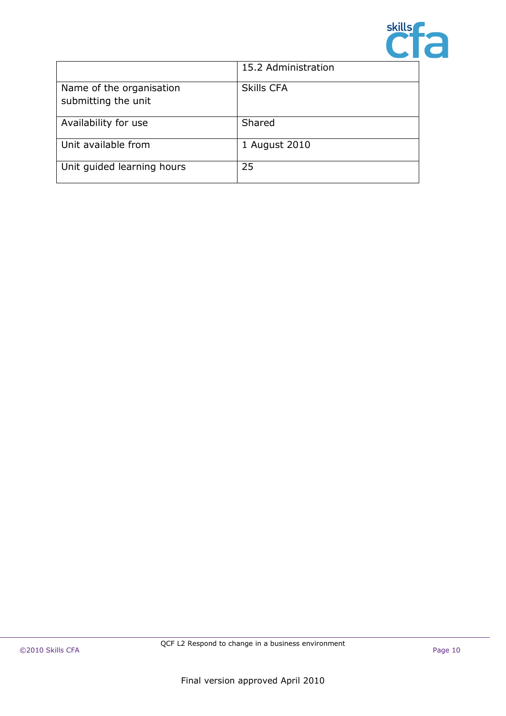

|                                                 | 15.2 Administration |
|-------------------------------------------------|---------------------|
| Name of the organisation<br>submitting the unit | <b>Skills CFA</b>   |
| Availability for use                            | Shared              |
| Unit available from                             | 1 August 2010       |
| Unit guided learning hours                      | 25                  |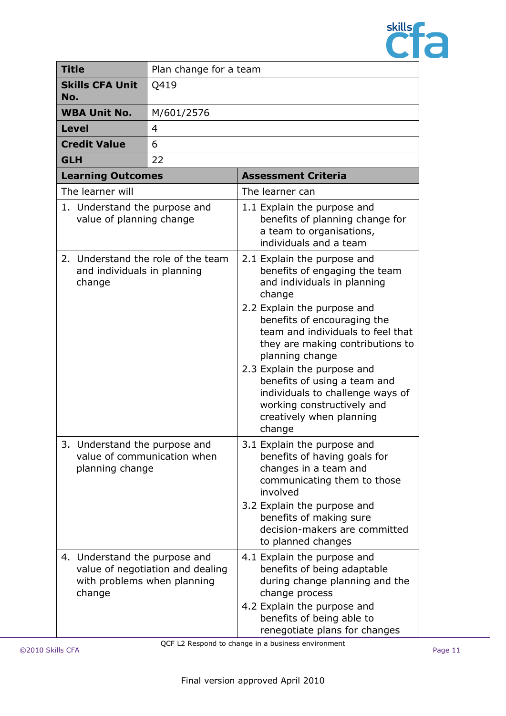

|                                                                             | <b>Title</b>                                                                    | Plan change for a team           |                                                                                                                                                                                                                                                                                                                                                                                                                                        |  |  |
|-----------------------------------------------------------------------------|---------------------------------------------------------------------------------|----------------------------------|----------------------------------------------------------------------------------------------------------------------------------------------------------------------------------------------------------------------------------------------------------------------------------------------------------------------------------------------------------------------------------------------------------------------------------------|--|--|
| No.                                                                         | <b>Skills CFA Unit</b>                                                          | Q419                             |                                                                                                                                                                                                                                                                                                                                                                                                                                        |  |  |
|                                                                             | <b>WBA Unit No.</b>                                                             | M/601/2576                       |                                                                                                                                                                                                                                                                                                                                                                                                                                        |  |  |
|                                                                             | <b>Level</b>                                                                    | $\overline{4}$                   |                                                                                                                                                                                                                                                                                                                                                                                                                                        |  |  |
|                                                                             | <b>Credit Value</b>                                                             | 6                                |                                                                                                                                                                                                                                                                                                                                                                                                                                        |  |  |
| <b>GLH</b>                                                                  |                                                                                 | 22                               |                                                                                                                                                                                                                                                                                                                                                                                                                                        |  |  |
|                                                                             | <b>Learning Outcomes</b>                                                        |                                  | <b>Assessment Criteria</b>                                                                                                                                                                                                                                                                                                                                                                                                             |  |  |
|                                                                             | The learner will                                                                |                                  | The learner can                                                                                                                                                                                                                                                                                                                                                                                                                        |  |  |
|                                                                             | 1. Understand the purpose and<br>value of planning change                       |                                  | 1.1 Explain the purpose and<br>benefits of planning change for<br>a team to organisations,<br>individuals and a team                                                                                                                                                                                                                                                                                                                   |  |  |
| 2. Understand the role of the team<br>and individuals in planning<br>change |                                                                                 |                                  | 2.1 Explain the purpose and<br>benefits of engaging the team<br>and individuals in planning<br>change<br>2.2 Explain the purpose and<br>benefits of encouraging the<br>team and individuals to feel that<br>they are making contributions to<br>planning change<br>2.3 Explain the purpose and<br>benefits of using a team and<br>individuals to challenge ways of<br>working constructively and<br>creatively when planning<br>change |  |  |
|                                                                             | 3. Understand the purpose and<br>value of communication when<br>planning change |                                  | 3.1 Explain the purpose and<br>benefits of having goals for<br>changes in a team and<br>communicating them to those<br>involved<br>3.2 Explain the purpose and<br>benefits of making sure<br>decision-makers are committed<br>to planned changes                                                                                                                                                                                       |  |  |
|                                                                             | 4. Understand the purpose and<br>with problems when planning<br>change          | value of negotiation and dealing | 4.1 Explain the purpose and<br>benefits of being adaptable<br>during change planning and the<br>change process<br>4.2 Explain the purpose and<br>benefits of being able to<br>renegotiate plans for changes                                                                                                                                                                                                                            |  |  |

QCF L2 Respond to change in a business environment ©2010 Skills CFA Page 11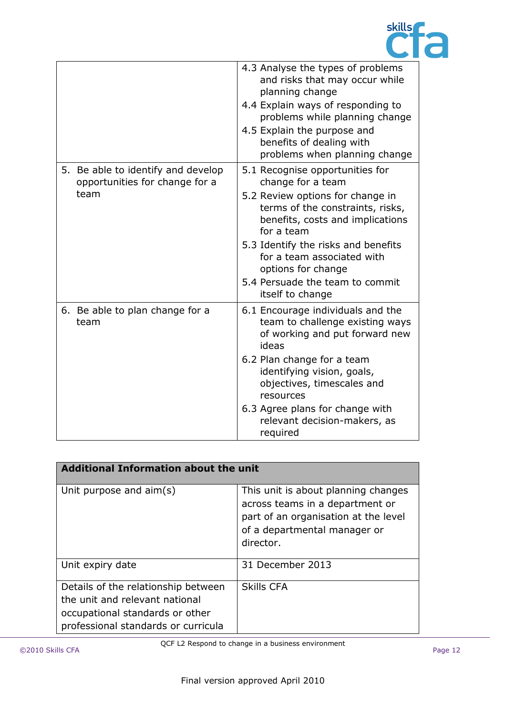

|                                                                              | 4.3 Analyse the types of problems<br>and risks that may occur while<br>planning change<br>4.4 Explain ways of responding to<br>problems while planning change<br>4.5 Explain the purpose and<br>benefits of dealing with<br>problems when planning change                                                                        |
|------------------------------------------------------------------------------|----------------------------------------------------------------------------------------------------------------------------------------------------------------------------------------------------------------------------------------------------------------------------------------------------------------------------------|
| 5. Be able to identify and develop<br>opportunities for change for a<br>team | 5.1 Recognise opportunities for<br>change for a team<br>5.2 Review options for change in<br>terms of the constraints, risks,<br>benefits, costs and implications<br>for a team<br>5.3 Identify the risks and benefits<br>for a team associated with<br>options for change<br>5.4 Persuade the team to commit<br>itself to change |
| 6. Be able to plan change for a<br>team                                      | 6.1 Encourage individuals and the<br>team to challenge existing ways<br>of working and put forward new<br>ideas<br>6.2 Plan change for a team<br>identifying vision, goals,<br>objectives, timescales and<br>resources<br>6.3 Agree plans for change with<br>relevant decision-makers, as<br>required                            |

| <b>Additional Information about the unit</b>                                                                                                    |                                                                                                                                                             |  |  |
|-------------------------------------------------------------------------------------------------------------------------------------------------|-------------------------------------------------------------------------------------------------------------------------------------------------------------|--|--|
| Unit purpose and aim(s)                                                                                                                         | This unit is about planning changes<br>across teams in a department or<br>part of an organisation at the level<br>of a departmental manager or<br>director. |  |  |
| Unit expiry date                                                                                                                                | 31 December 2013                                                                                                                                            |  |  |
| Details of the relationship between<br>the unit and relevant national<br>occupational standards or other<br>professional standards or curricula | <b>Skills CFA</b>                                                                                                                                           |  |  |

QCF L2 Respond to change in a business environment ©2010 Skills CFA Page 12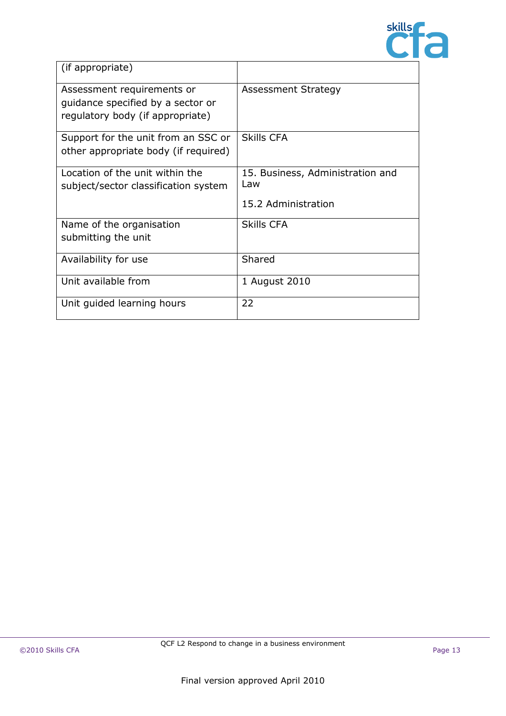

| (if appropriate)                                                                                    |                                                                |
|-----------------------------------------------------------------------------------------------------|----------------------------------------------------------------|
| Assessment requirements or<br>quidance specified by a sector or<br>regulatory body (if appropriate) | <b>Assessment Strategy</b>                                     |
| Support for the unit from an SSC or<br>other appropriate body (if required)                         | <b>Skills CFA</b>                                              |
| Location of the unit within the<br>subject/sector classification system                             | 15. Business, Administration and<br>Law<br>15.2 Administration |
| Name of the organisation<br>submitting the unit                                                     | <b>Skills CFA</b>                                              |
| Availability for use                                                                                | Shared                                                         |
| Unit available from                                                                                 | 1 August 2010                                                  |
| Unit guided learning hours                                                                          | 22                                                             |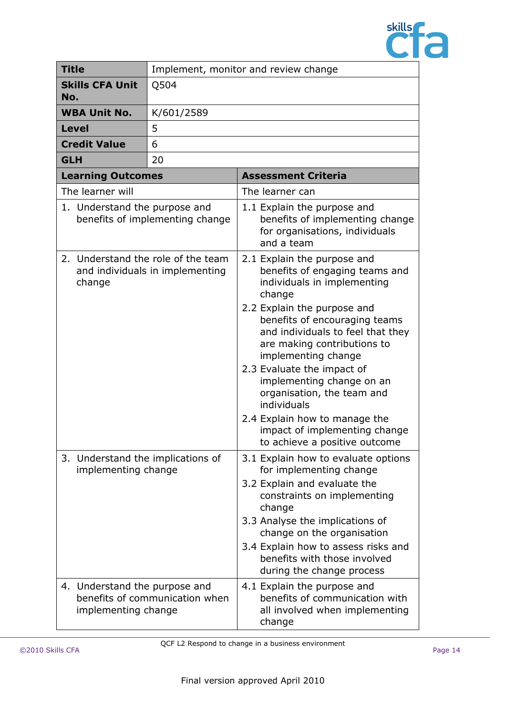

|                                                                                 | <b>Title</b>                                         | Implement, monitor and review change |                                                                                                                                                                                                                                                                                                                                                                                                                                                                              |  |
|---------------------------------------------------------------------------------|------------------------------------------------------|--------------------------------------|------------------------------------------------------------------------------------------------------------------------------------------------------------------------------------------------------------------------------------------------------------------------------------------------------------------------------------------------------------------------------------------------------------------------------------------------------------------------------|--|
| No.                                                                             | <b>Skills CFA Unit</b>                               | Q504                                 |                                                                                                                                                                                                                                                                                                                                                                                                                                                                              |  |
|                                                                                 | <b>WBA Unit No.</b>                                  | K/601/2589                           |                                                                                                                                                                                                                                                                                                                                                                                                                                                                              |  |
|                                                                                 | <b>Level</b>                                         | 5                                    |                                                                                                                                                                                                                                                                                                                                                                                                                                                                              |  |
|                                                                                 | <b>Credit Value</b>                                  | 6                                    |                                                                                                                                                                                                                                                                                                                                                                                                                                                                              |  |
| <b>GLH</b>                                                                      |                                                      | 20                                   |                                                                                                                                                                                                                                                                                                                                                                                                                                                                              |  |
|                                                                                 | <b>Learning Outcomes</b>                             |                                      | <b>Assessment Criteria</b>                                                                                                                                                                                                                                                                                                                                                                                                                                                   |  |
|                                                                                 | The learner will                                     |                                      | The learner can                                                                                                                                                                                                                                                                                                                                                                                                                                                              |  |
| 1. Understand the purpose and<br>benefits of implementing change                |                                                      |                                      | 1.1 Explain the purpose and<br>benefits of implementing change<br>for organisations, individuals<br>and a team                                                                                                                                                                                                                                                                                                                                                               |  |
| 2. Understand the role of the team<br>and individuals in implementing<br>change |                                                      |                                      | 2.1 Explain the purpose and<br>benefits of engaging teams and<br>individuals in implementing<br>change<br>2.2 Explain the purpose and<br>benefits of encouraging teams<br>and individuals to feel that they<br>are making contributions to<br>implementing change<br>2.3 Evaluate the impact of<br>implementing change on an<br>organisation, the team and<br>individuals<br>2.4 Explain how to manage the<br>impact of implementing change<br>to achieve a positive outcome |  |
|                                                                                 | implementing change                                  | 3. Understand the implications of    | 3.1 Explain how to evaluate options<br>for implementing change<br>3.2 Explain and evaluate the<br>constraints on implementing<br>change<br>3.3 Analyse the implications of<br>change on the organisation<br>3.4 Explain how to assess risks and<br>benefits with those involved<br>during the change process                                                                                                                                                                 |  |
|                                                                                 | 4. Understand the purpose and<br>implementing change | benefits of communication when       | 4.1 Explain the purpose and<br>benefits of communication with<br>all involved when implementing<br>change                                                                                                                                                                                                                                                                                                                                                                    |  |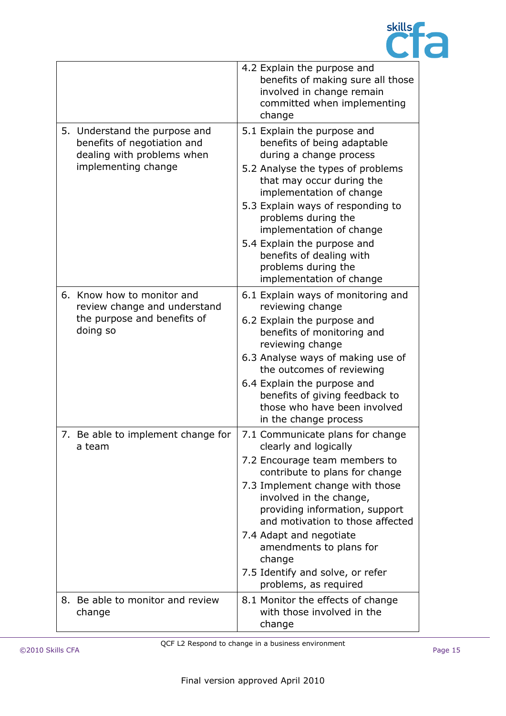

|    |                                                                                                                   | 4.2 Explain the purpose and<br>benefits of making sure all those<br>involved in change remain<br>committed when implementing<br>change                                                                                                                                                                                                                                                        |
|----|-------------------------------------------------------------------------------------------------------------------|-----------------------------------------------------------------------------------------------------------------------------------------------------------------------------------------------------------------------------------------------------------------------------------------------------------------------------------------------------------------------------------------------|
|    | 5. Understand the purpose and<br>benefits of negotiation and<br>dealing with problems when<br>implementing change | 5.1 Explain the purpose and<br>benefits of being adaptable<br>during a change process<br>5.2 Analyse the types of problems<br>that may occur during the<br>implementation of change<br>5.3 Explain ways of responding to<br>problems during the<br>implementation of change<br>5.4 Explain the purpose and<br>benefits of dealing with<br>problems during the<br>implementation of change     |
|    | 6. Know how to monitor and<br>review change and understand<br>the purpose and benefits of<br>doing so             | 6.1 Explain ways of monitoring and<br>reviewing change<br>6.2 Explain the purpose and<br>benefits of monitoring and<br>reviewing change<br>6.3 Analyse ways of making use of<br>the outcomes of reviewing<br>6.4 Explain the purpose and<br>benefits of giving feedback to<br>those who have been involved<br>in the change process                                                           |
|    | 7. Be able to implement change for<br>a team                                                                      | 7.1 Communicate plans for change<br>clearly and logically<br>7.2 Encourage team members to<br>contribute to plans for change<br>7.3 Implement change with those<br>involved in the change,<br>providing information, support<br>and motivation to those affected<br>7.4 Adapt and negotiate<br>amendments to plans for<br>change<br>7.5 Identify and solve, or refer<br>problems, as required |
| 8. | Be able to monitor and review<br>change                                                                           | 8.1 Monitor the effects of change<br>with those involved in the<br>change                                                                                                                                                                                                                                                                                                                     |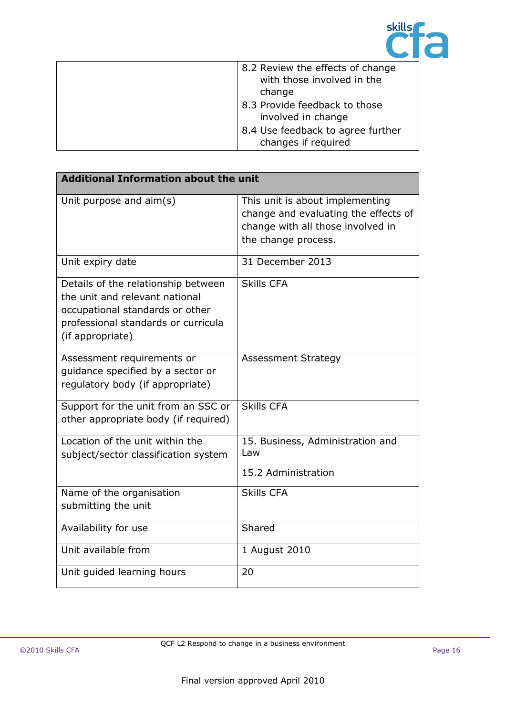

| 8.2 Review the effects of change<br>with those involved in the |
|----------------------------------------------------------------|
| change                                                         |
| 8.3 Provide feedback to those<br>involved in change            |
| 8.4 Use feedback to agree further<br>changes if required       |

| <b>Additional Information about the unit</b>                                                                                                                        |                                                                                                                                     |  |
|---------------------------------------------------------------------------------------------------------------------------------------------------------------------|-------------------------------------------------------------------------------------------------------------------------------------|--|
| Unit purpose and aim(s)                                                                                                                                             | This unit is about implementing<br>change and evaluating the effects of<br>change with all those involved in<br>the change process. |  |
| Unit expiry date                                                                                                                                                    | 31 December 2013                                                                                                                    |  |
| Details of the relationship between<br>the unit and relevant national<br>occupational standards or other<br>professional standards or curricula<br>(if appropriate) | <b>Skills CFA</b>                                                                                                                   |  |
| Assessment requirements or<br>quidance specified by a sector or<br>regulatory body (if appropriate)                                                                 | <b>Assessment Strategy</b>                                                                                                          |  |
| Support for the unit from an SSC or<br>other appropriate body (if required)                                                                                         | <b>Skills CFA</b>                                                                                                                   |  |
| Location of the unit within the<br>subject/sector classification system                                                                                             | 15. Business, Administration and<br>Law<br>15.2 Administration                                                                      |  |
| Name of the organisation<br>submitting the unit                                                                                                                     | <b>Skills CFA</b>                                                                                                                   |  |
| Availability for use                                                                                                                                                | Shared                                                                                                                              |  |
| Unit available from                                                                                                                                                 | 1 August 2010                                                                                                                       |  |
| Unit guided learning hours                                                                                                                                          | 20                                                                                                                                  |  |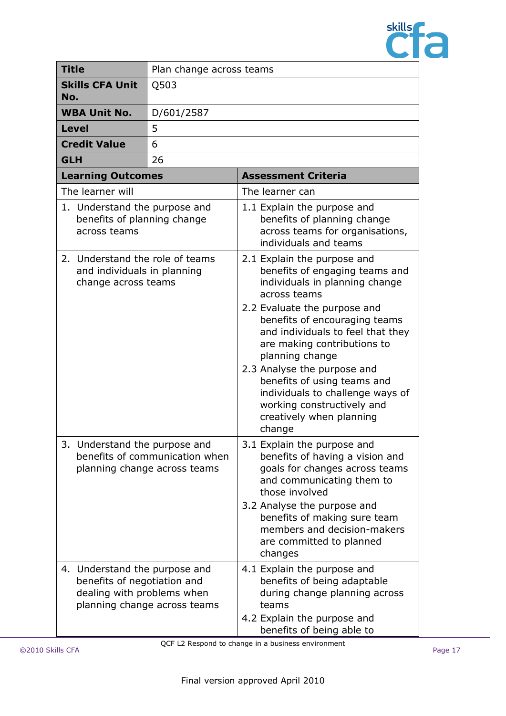

|                                                                                       | <b>Title</b>                                                                               | Plan change across teams                                       |                                                                                                                                                                                                                                                                                                                                                                                                                                               |  |  |
|---------------------------------------------------------------------------------------|--------------------------------------------------------------------------------------------|----------------------------------------------------------------|-----------------------------------------------------------------------------------------------------------------------------------------------------------------------------------------------------------------------------------------------------------------------------------------------------------------------------------------------------------------------------------------------------------------------------------------------|--|--|
| No.                                                                                   | <b>Skills CFA Unit</b>                                                                     | Q503                                                           |                                                                                                                                                                                                                                                                                                                                                                                                                                               |  |  |
|                                                                                       | <b>WBA Unit No.</b>                                                                        | D/601/2587                                                     |                                                                                                                                                                                                                                                                                                                                                                                                                                               |  |  |
|                                                                                       | <b>Level</b>                                                                               | 5                                                              |                                                                                                                                                                                                                                                                                                                                                                                                                                               |  |  |
|                                                                                       | <b>Credit Value</b>                                                                        | 6                                                              |                                                                                                                                                                                                                                                                                                                                                                                                                                               |  |  |
| <b>GLH</b>                                                                            |                                                                                            | 26                                                             |                                                                                                                                                                                                                                                                                                                                                                                                                                               |  |  |
|                                                                                       | <b>Learning Outcomes</b>                                                                   |                                                                | <b>Assessment Criteria</b>                                                                                                                                                                                                                                                                                                                                                                                                                    |  |  |
|                                                                                       | The learner will                                                                           |                                                                | The learner can                                                                                                                                                                                                                                                                                                                                                                                                                               |  |  |
|                                                                                       | 1. Understand the purpose and<br>benefits of planning change<br>across teams               |                                                                | 1.1 Explain the purpose and<br>benefits of planning change<br>across teams for organisations,<br>individuals and teams                                                                                                                                                                                                                                                                                                                        |  |  |
| 2. Understand the role of teams<br>and individuals in planning<br>change across teams |                                                                                            |                                                                | 2.1 Explain the purpose and<br>benefits of engaging teams and<br>individuals in planning change<br>across teams<br>2.2 Evaluate the purpose and<br>benefits of encouraging teams<br>and individuals to feel that they<br>are making contributions to<br>planning change<br>2.3 Analyse the purpose and<br>benefits of using teams and<br>individuals to challenge ways of<br>working constructively and<br>creatively when planning<br>change |  |  |
|                                                                                       | 3. Understand the purpose and                                                              | benefits of communication when<br>planning change across teams | 3.1 Explain the purpose and<br>benefits of having a vision and<br>goals for changes across teams<br>and communicating them to<br>those involved<br>3.2 Analyse the purpose and<br>benefits of making sure team<br>members and decision-makers<br>are committed to planned<br>changes                                                                                                                                                          |  |  |
|                                                                                       | 4. Understand the purpose and<br>benefits of negotiation and<br>dealing with problems when | planning change across teams                                   | 4.1 Explain the purpose and<br>benefits of being adaptable<br>during change planning across<br>teams<br>4.2 Explain the purpose and<br>benefits of being able to                                                                                                                                                                                                                                                                              |  |  |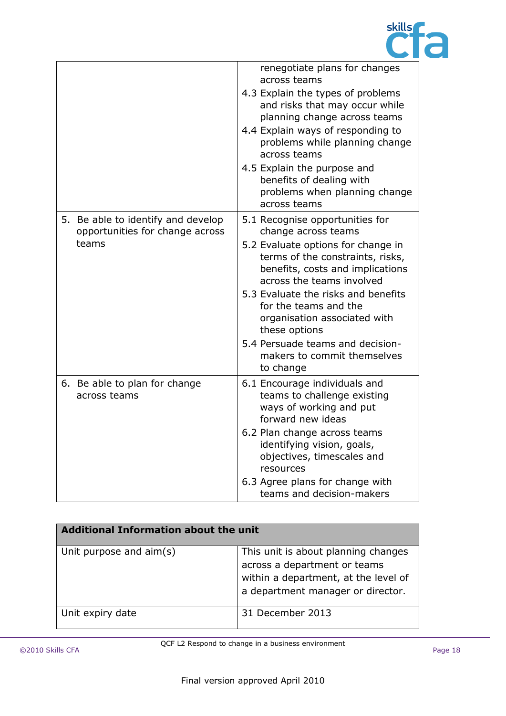

|                                                                       | renegotiate plans for changes<br>across teams                                                                                            |
|-----------------------------------------------------------------------|------------------------------------------------------------------------------------------------------------------------------------------|
|                                                                       | 4.3 Explain the types of problems<br>and risks that may occur while<br>planning change across teams<br>4.4 Explain ways of responding to |
|                                                                       | problems while planning change<br>across teams                                                                                           |
|                                                                       | 4.5 Explain the purpose and<br>benefits of dealing with<br>problems when planning change<br>across teams                                 |
| 5. Be able to identify and develop<br>opportunities for change across | 5.1 Recognise opportunities for<br>change across teams                                                                                   |
| teams                                                                 | 5.2 Evaluate options for change in<br>terms of the constraints, risks,<br>benefits, costs and implications<br>across the teams involved  |
|                                                                       | 5.3 Evaluate the risks and benefits<br>for the teams and the<br>organisation associated with<br>these options                            |
|                                                                       | 5.4 Persuade teams and decision-<br>makers to commit themselves<br>to change                                                             |
| 6. Be able to plan for change<br>across teams                         | 6.1 Encourage individuals and<br>teams to challenge existing<br>ways of working and put<br>forward new ideas                             |
|                                                                       | 6.2 Plan change across teams<br>identifying vision, goals,<br>objectives, timescales and<br>resources                                    |
|                                                                       | 6.3 Agree plans for change with<br>teams and decision-makers                                                                             |

| <b>Additional Information about the unit</b> |                                                                                                                                                  |  |
|----------------------------------------------|--------------------------------------------------------------------------------------------------------------------------------------------------|--|
| Unit purpose and aim(s)                      | This unit is about planning changes<br>across a department or teams<br>within a department, at the level of<br>a department manager or director. |  |
| Unit expiry date                             | 31 December 2013                                                                                                                                 |  |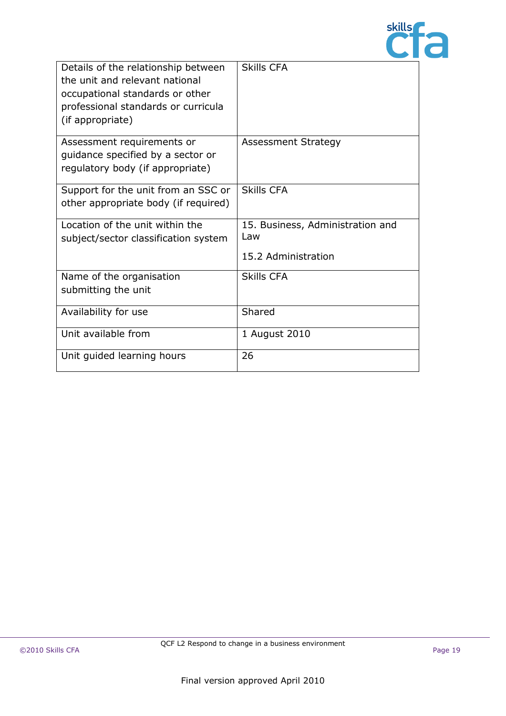

| Details of the relationship between<br>the unit and relevant national<br>occupational standards or other<br>professional standards or curricula<br>(if appropriate) | <b>Skills CFA</b>                                              |
|---------------------------------------------------------------------------------------------------------------------------------------------------------------------|----------------------------------------------------------------|
| Assessment requirements or<br>guidance specified by a sector or<br>regulatory body (if appropriate)                                                                 | Assessment Strategy                                            |
| Support for the unit from an SSC or<br>other appropriate body (if required)                                                                                         | <b>Skills CFA</b>                                              |
| Location of the unit within the<br>subject/sector classification system                                                                                             | 15. Business, Administration and<br>Law<br>15.2 Administration |
| Name of the organisation<br>submitting the unit                                                                                                                     | <b>Skills CFA</b>                                              |
| Availability for use                                                                                                                                                | Shared                                                         |
| Unit available from                                                                                                                                                 | 1 August 2010                                                  |
| Unit guided learning hours                                                                                                                                          | 26                                                             |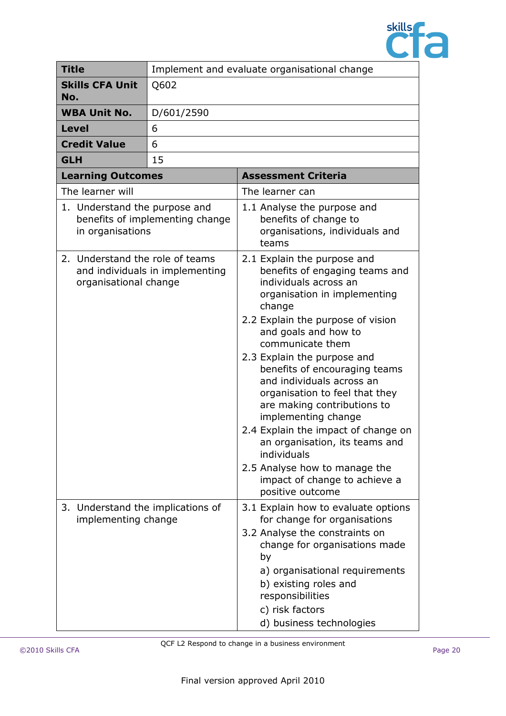

| <b>Title</b>                                             | Implement and evaluate organisational change |                                                                                                                                                                                                                                                                                                                                                                                                                                                                                                                                                                                      |
|----------------------------------------------------------|----------------------------------------------|--------------------------------------------------------------------------------------------------------------------------------------------------------------------------------------------------------------------------------------------------------------------------------------------------------------------------------------------------------------------------------------------------------------------------------------------------------------------------------------------------------------------------------------------------------------------------------------|
| <b>Skills CFA Unit</b><br>No.                            | Q602                                         |                                                                                                                                                                                                                                                                                                                                                                                                                                                                                                                                                                                      |
| <b>WBA Unit No.</b>                                      | D/601/2590                                   |                                                                                                                                                                                                                                                                                                                                                                                                                                                                                                                                                                                      |
| <b>Level</b>                                             | 6                                            |                                                                                                                                                                                                                                                                                                                                                                                                                                                                                                                                                                                      |
| <b>Credit Value</b>                                      | 6                                            |                                                                                                                                                                                                                                                                                                                                                                                                                                                                                                                                                                                      |
| <b>GLH</b>                                               | 15                                           |                                                                                                                                                                                                                                                                                                                                                                                                                                                                                                                                                                                      |
| <b>Learning Outcomes</b>                                 |                                              | <b>Assessment Criteria</b>                                                                                                                                                                                                                                                                                                                                                                                                                                                                                                                                                           |
| The learner will                                         |                                              | The learner can                                                                                                                                                                                                                                                                                                                                                                                                                                                                                                                                                                      |
| 1. Understand the purpose and<br>in organisations        | benefits of implementing change              | 1.1 Analyse the purpose and<br>benefits of change to<br>organisations, individuals and<br>teams                                                                                                                                                                                                                                                                                                                                                                                                                                                                                      |
| 2. Understand the role of teams<br>organisational change | and individuals in implementing              | 2.1 Explain the purpose and<br>benefits of engaging teams and<br>individuals across an<br>organisation in implementing<br>change<br>2.2 Explain the purpose of vision<br>and goals and how to<br>communicate them<br>2.3 Explain the purpose and<br>benefits of encouraging teams<br>and individuals across an<br>organisation to feel that they<br>are making contributions to<br>implementing change<br>2.4 Explain the impact of change on<br>an organisation, its teams and<br>individuals<br>2.5 Analyse how to manage the<br>impact of change to achieve a<br>positive outcome |
| 3. Understand the implications of<br>implementing change |                                              | 3.1 Explain how to evaluate options<br>for change for organisations<br>3.2 Analyse the constraints on<br>change for organisations made<br>by<br>a) organisational requirements<br>b) existing roles and<br>responsibilities<br>c) risk factors<br>d) business technologies                                                                                                                                                                                                                                                                                                           |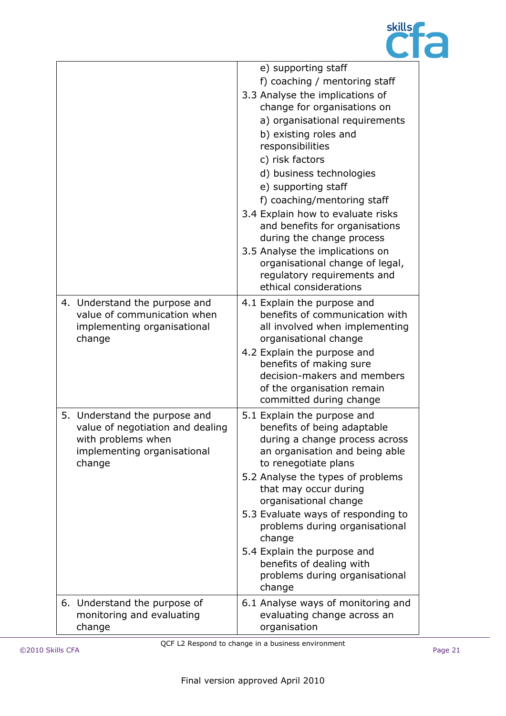

|                                                                                                                                  | e) supporting staff<br>f) coaching / mentoring staff<br>3.3 Analyse the implications of<br>change for organisations on<br>a) organisational requirements<br>b) existing roles and<br>responsibilities<br>c) risk factors<br>d) business technologies<br>e) supporting staff<br>f) coaching/mentoring staff<br>3.4 Explain how to evaluate risks                                                                                        |
|----------------------------------------------------------------------------------------------------------------------------------|----------------------------------------------------------------------------------------------------------------------------------------------------------------------------------------------------------------------------------------------------------------------------------------------------------------------------------------------------------------------------------------------------------------------------------------|
|                                                                                                                                  | and benefits for organisations<br>during the change process<br>3.5 Analyse the implications on<br>organisational change of legal,<br>regulatory requirements and<br>ethical considerations                                                                                                                                                                                                                                             |
| 4. Understand the purpose and<br>value of communication when<br>implementing organisational<br>change                            | 4.1 Explain the purpose and<br>benefits of communication with<br>all involved when implementing<br>organisational change<br>4.2 Explain the purpose and<br>benefits of making sure<br>decision-makers and members<br>of the organisation remain<br>committed during change                                                                                                                                                             |
| 5. Understand the purpose and<br>value of negotiation and dealing<br>with problems when<br>implementing organisational<br>change | 5.1 Explain the purpose and<br>benefits of being adaptable<br>during a change process across<br>an organisation and being able<br>to renegotiate plans<br>5.2 Analyse the types of problems<br>that may occur during<br>organisational change<br>5.3 Evaluate ways of responding to<br>problems during organisational<br>change<br>5.4 Explain the purpose and<br>benefits of dealing with<br>problems during organisational<br>change |
| 6. Understand the purpose of<br>monitoring and evaluating<br>change                                                              | 6.1 Analyse ways of monitoring and<br>evaluating change across an<br>organisation                                                                                                                                                                                                                                                                                                                                                      |

QCF L2 Respond to change in a business environment ©2010 Skills CFA Page 21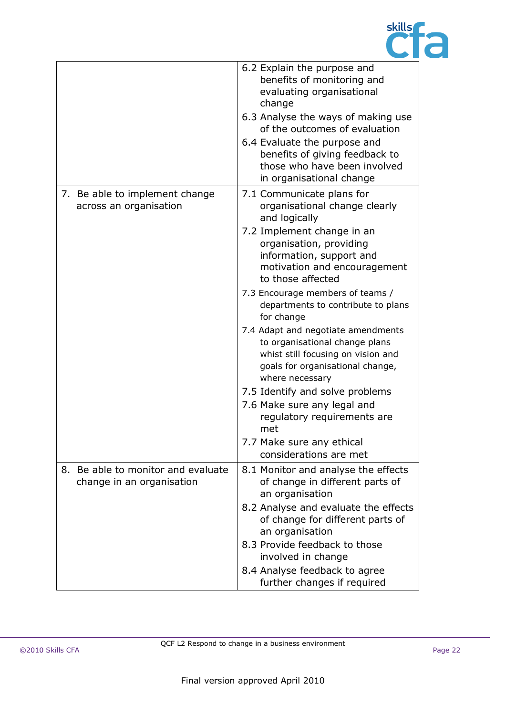

|                                                                 | 6.2 Explain the purpose and<br>benefits of monitoring and<br>evaluating organisational<br>change<br>6.3 Analyse the ways of making use<br>of the outcomes of evaluation<br>6.4 Evaluate the purpose and<br>benefits of giving feedback to<br>those who have been involved<br>in organisational change                                                                                                                                                                                                                                                                                                                                             |
|-----------------------------------------------------------------|---------------------------------------------------------------------------------------------------------------------------------------------------------------------------------------------------------------------------------------------------------------------------------------------------------------------------------------------------------------------------------------------------------------------------------------------------------------------------------------------------------------------------------------------------------------------------------------------------------------------------------------------------|
| 7. Be able to implement change<br>across an organisation        | 7.1 Communicate plans for<br>organisational change clearly<br>and logically<br>7.2 Implement change in an<br>organisation, providing<br>information, support and<br>motivation and encouragement<br>to those affected<br>7.3 Encourage members of teams /<br>departments to contribute to plans<br>for change<br>7.4 Adapt and negotiate amendments<br>to organisational change plans<br>whist still focusing on vision and<br>goals for organisational change,<br>where necessary<br>7.5 Identify and solve problems<br>7.6 Make sure any legal and<br>regulatory requirements are<br>met<br>7.7 Make sure any ethical<br>considerations are met |
| 8. Be able to monitor and evaluate<br>change in an organisation | 8.1 Monitor and analyse the effects<br>of change in different parts of<br>an organisation<br>8.2 Analyse and evaluate the effects<br>of change for different parts of<br>an organisation<br>8.3 Provide feedback to those<br>involved in change<br>8.4 Analyse feedback to agree<br>further changes if required                                                                                                                                                                                                                                                                                                                                   |